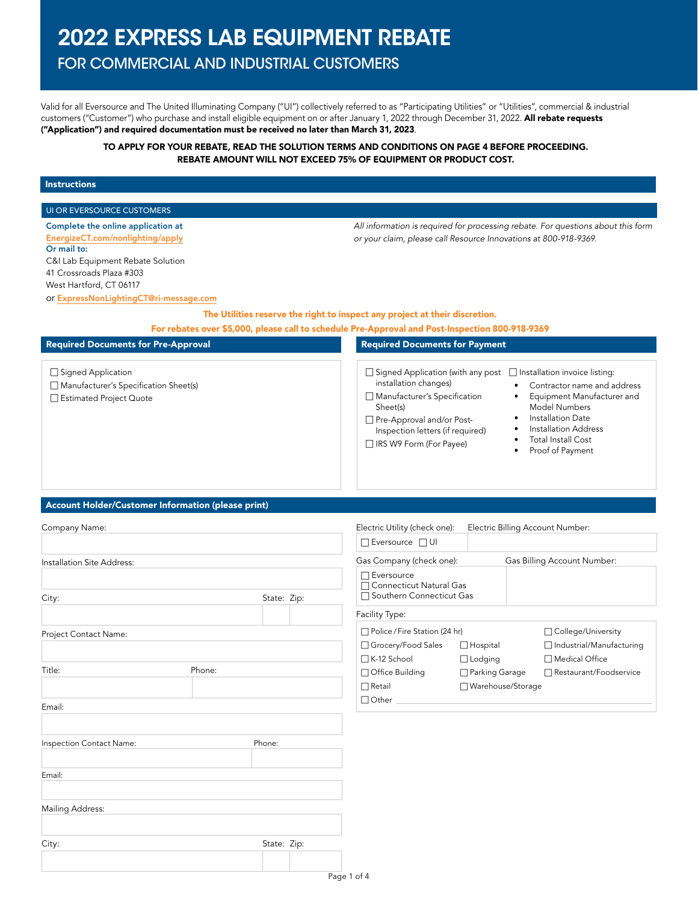# 2022 EXPRESS LAB EQUIPMENT REBATE

# FOR COMMERCIAL AND INDUSTRIAL CUSTOMERS

Valid for all Eversource and The United Illuminating Company ("UI") collectively referred to as "Participating Utilities" or "Utilities", commercial & industrial customers ("Customer") who purchase and install eligible equipment on or after January 1, 2022 through December 31, 2022. All rebate requests ("Application") and required documentation must be received no later than March 31, 2023.

# TO APPLY FOR YOUR REBATE, READ THE SOLUTION TERMS AND CONDITIONS ON PAGE 4 BEFORE PROCEEDING. REBATE AMOUNT WILL NOT EXCEED 75% OF EQUIPMENT OR PRODUCT COST.

### Instructions

# UI OR EVERSOURCE CUSTOMERS Complete the online application at [EnergizeCT.com/nonlighting/apply](http://EnergizeCT.com/nonlighting/apply) Or mail to: C&I Lab Equipment Rebate Solution 41 Crossroads Plaza #303 West Hartford, CT 06117

*All information is required for processing rebate. For questions about this form or your claim, please call Resource Innovations at 800-918-9369.*

or [ExpressNonLightingCT@ri-message.com](mailto:ExpressNonLightingCT%40ri-message.com?subject=)

The Utilities reserve the right to inspect any project at their discretion.

For rebates over \$5,000, please call to schedule Pre-Approval and Post-Inspection 800-918-9369

| <b>Required Documents for Pre-Approval</b>                                                             | <b>Required Documents for Payment</b>                                                                                                                                                                                                                                                                                                                                                                                                      |
|--------------------------------------------------------------------------------------------------------|--------------------------------------------------------------------------------------------------------------------------------------------------------------------------------------------------------------------------------------------------------------------------------------------------------------------------------------------------------------------------------------------------------------------------------------------|
| $\Box$ Signed Application<br>$\Box$ Manufacturer's Specification Sheet(s)<br>□ Estimated Project Quote | $\Box$ Signed Application (with any post $\Box$ Installation invoice listing:<br>installation changes)<br>Contractor name and address<br>$\Box$ Manufacturer's Specification<br>Equipment Manufacturer and<br><b>Model Numbers</b><br>Sheet(s)<br>Installation Date<br>Pre-Approval and/or Post-<br>Installation Address<br>Inspection letters (if required)<br><b>Total Install Cost</b><br>□ IRS W9 Form (For Payee)<br>Proof of Payment |

# Account Holder/Customer Information (please print)

| Company Name:              |        |                                 | Electric Utility (check one):                                              | Electric Billing Account Number: |                                                |  |
|----------------------------|--------|---------------------------------|----------------------------------------------------------------------------|----------------------------------|------------------------------------------------|--|
|                            |        |                                 | □ Eversource □ UI                                                          |                                  |                                                |  |
| Installation Site Address: |        |                                 | Gas Company (check one):<br>Gas Billing Account Number:                    |                                  |                                                |  |
| City:                      |        | State: Zip:                     | $\Box$ Eversource<br>Connecticut Natural Gas<br>□ Southern Connecticut Gas |                                  |                                                |  |
|                            |        |                                 | Facility Type:                                                             |                                  |                                                |  |
| Project Contact Name:      |        | □ Police / Fire Station (24 hr) |                                                                            | □ College/University             |                                                |  |
|                            |        |                                 | □ Grocery/Food Sales<br>□ K-12 School                                      | $\Box$ Hospital<br>□ Lodging     | □ Industrial/Manufacturing<br>□ Medical Office |  |
| Title:                     | Phone: |                                 | □ Office Building                                                          | □ Parking Garage                 | □ Restaurant/Foodservice                       |  |
|                            |        |                                 | $\Box$ Retail                                                              | □ Warehouse/Storage              |                                                |  |
| Email:                     |        |                                 | $\Box$ Other $\Box$                                                        |                                  |                                                |  |
| Inspection Contact Name:   | Phone: |                                 |                                                                            |                                  |                                                |  |
|                            |        |                                 |                                                                            |                                  |                                                |  |
| Email:                     |        |                                 |                                                                            |                                  |                                                |  |
| <b>Mailing Address:</b>    |        |                                 |                                                                            |                                  |                                                |  |
| City:                      |        | State: Zip:                     |                                                                            |                                  |                                                |  |
|                            |        |                                 |                                                                            |                                  |                                                |  |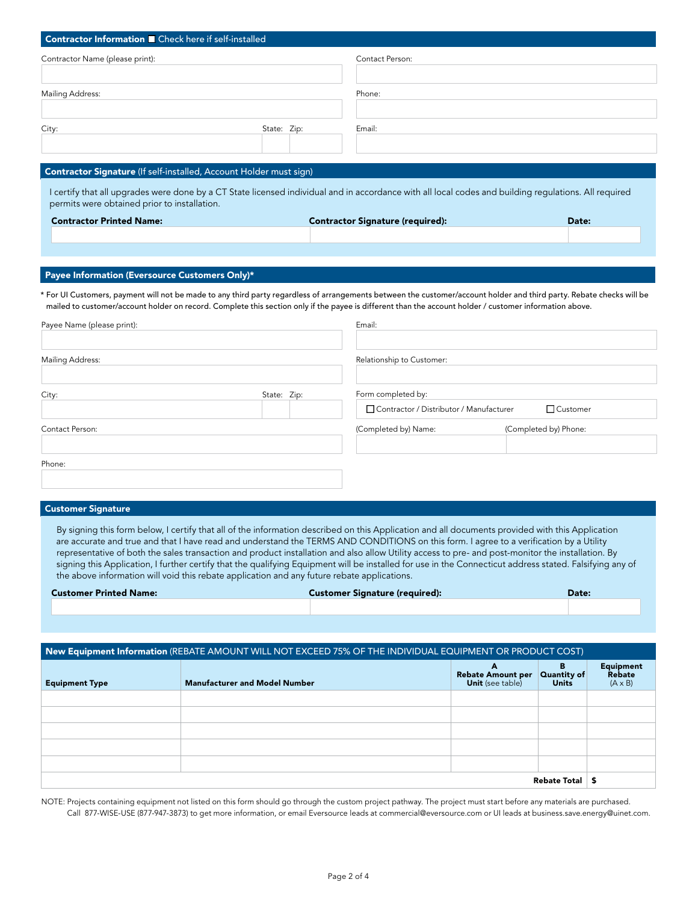| Contractor Information <b>D</b> Check here if self-installed                                                                                                                                                                                                                                                                                                                       |             |                                         |                       |  |
|------------------------------------------------------------------------------------------------------------------------------------------------------------------------------------------------------------------------------------------------------------------------------------------------------------------------------------------------------------------------------------|-------------|-----------------------------------------|-----------------------|--|
| Contractor Name (please print):                                                                                                                                                                                                                                                                                                                                                    |             | Contact Person:                         |                       |  |
|                                                                                                                                                                                                                                                                                                                                                                                    |             |                                         |                       |  |
| Mailing Address:                                                                                                                                                                                                                                                                                                                                                                   |             | Phone:                                  |                       |  |
| City:                                                                                                                                                                                                                                                                                                                                                                              | State: Zip: | Email:                                  |                       |  |
|                                                                                                                                                                                                                                                                                                                                                                                    |             |                                         |                       |  |
| Contractor Signature (If self-installed, Account Holder must sign)                                                                                                                                                                                                                                                                                                                 |             |                                         |                       |  |
| I certify that all upgrades were done by a CT State licensed individual and in accordance with all local codes and building regulations. All required<br>permits were obtained prior to installation.                                                                                                                                                                              |             |                                         |                       |  |
| <b>Contractor Printed Name:</b>                                                                                                                                                                                                                                                                                                                                                    |             | <b>Contractor Signature (required):</b> | Date:                 |  |
|                                                                                                                                                                                                                                                                                                                                                                                    |             |                                         |                       |  |
| Payee Information (Eversource Customers Only)*<br>* For UI Customers, payment will not be made to any third party regardless of arrangements between the customer/account holder and third party. Rebate checks will be<br>mailed to customer/account holder on record. Complete this section only if the payee is different than the account holder / customer information above. |             |                                         |                       |  |
| Payee Name (please print):                                                                                                                                                                                                                                                                                                                                                         |             | Email:                                  |                       |  |
| Mailing Address:                                                                                                                                                                                                                                                                                                                                                                   |             | Relationship to Customer:               |                       |  |
| City:                                                                                                                                                                                                                                                                                                                                                                              | State: Zip: | Form completed by:                      |                       |  |
|                                                                                                                                                                                                                                                                                                                                                                                    |             | Contractor / Distributor / Manufacturer | Customer              |  |
| Contact Person:                                                                                                                                                                                                                                                                                                                                                                    |             | (Completed by) Name:                    | (Completed by) Phone: |  |
| Phone:                                                                                                                                                                                                                                                                                                                                                                             |             |                                         |                       |  |

### Customer Signature

By signing this form below, I certify that all of the information described on this Application and all documents provided with this Application are accurate and true and that I have read and understand the TERMS AND CONDITIONS on this form. I agree to a verification by a Utility representative of both the sales transaction and product installation and also allow Utility access to pre- and post-monitor the installation. By signing this Application, I further certify that the qualifying Equipment will be installed for use in the Connecticut address stated. Falsifying any of the above information will void this rebate application and any future rebate applications.

| <b>Customer Printed Name:</b> | <b>Customer Signature (required):</b> | Date: |
|-------------------------------|---------------------------------------|-------|
|                               |                                       |       |

| New Equipment Information (REBATE AMOUNT WILL NOT EXCEED 75% OF THE INDIVIDUAL EQUIPMENT OR PRODUCT COST) |                                      |                                                          |                                  |                                              |
|-----------------------------------------------------------------------------------------------------------|--------------------------------------|----------------------------------------------------------|----------------------------------|----------------------------------------------|
| <b>Equipment Type</b>                                                                                     | <b>Manufacturer and Model Number</b> | A<br><b>Rebate Amount per</b><br><b>Unit</b> (see table) | в<br>Quantity of<br><b>Units</b> | <b>Equipment</b><br>Rebate<br>$(A \times B)$ |
|                                                                                                           |                                      |                                                          |                                  |                                              |
|                                                                                                           |                                      |                                                          |                                  |                                              |
|                                                                                                           |                                      |                                                          |                                  |                                              |
|                                                                                                           |                                      |                                                          |                                  |                                              |
|                                                                                                           |                                      |                                                          |                                  |                                              |
| Rebate Total                                                                                              |                                      |                                                          | £                                |                                              |

NOTE: Projects containing equipment not listed on this form should go through the custom project pathway. The project must start before any materials are purchased. Call 877-WISE-USE (877-947-3873) to get more information, or email Eversource leads at commercial@eversource.com or UI leads at business.save.energy@uinet.com.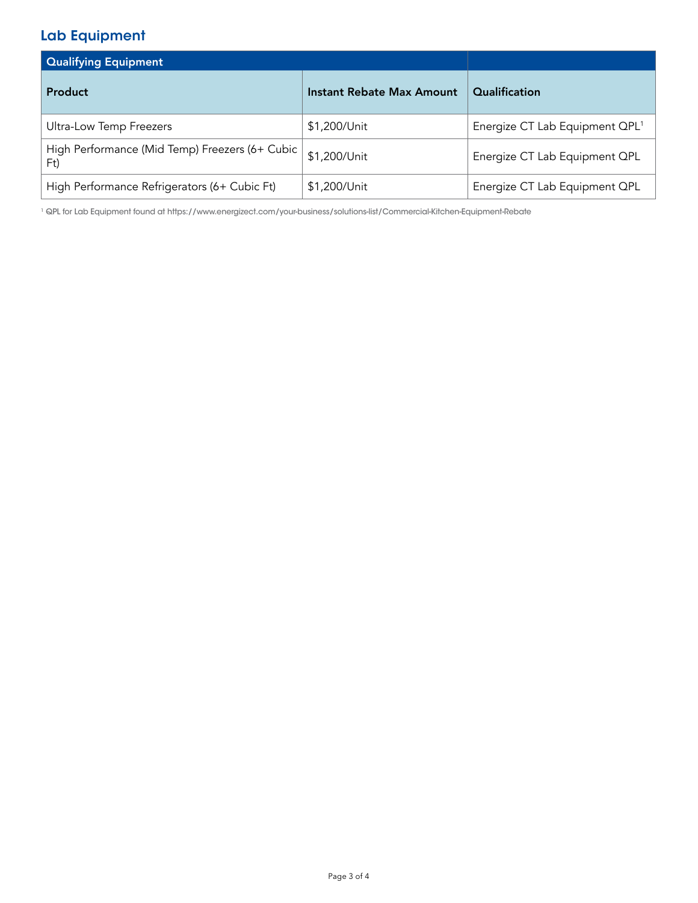# Lab Equipment

| <b>Qualifying Equipment</b>                             |                           |                                            |
|---------------------------------------------------------|---------------------------|--------------------------------------------|
| Product                                                 | Instant Rebate Max Amount | Qualification                              |
| Ultra-Low Temp Freezers                                 | \$1,200/Unit              | Energize CT Lab Equipment QPL <sup>1</sup> |
| High Performance (Mid Temp) Freezers (6+ Cubic  <br>Ft) | \$1,200/Unit              | Energize CT Lab Equipment QPL              |
| High Performance Refrigerators (6+ Cubic Ft)            | \$1,200/Unit              | Energize CT Lab Equipment QPL              |

1 QPL for Lab Equipment found at https://www.energizect.com/your-business/solutions-list/Commercial-Kitchen-Equipment-Rebate